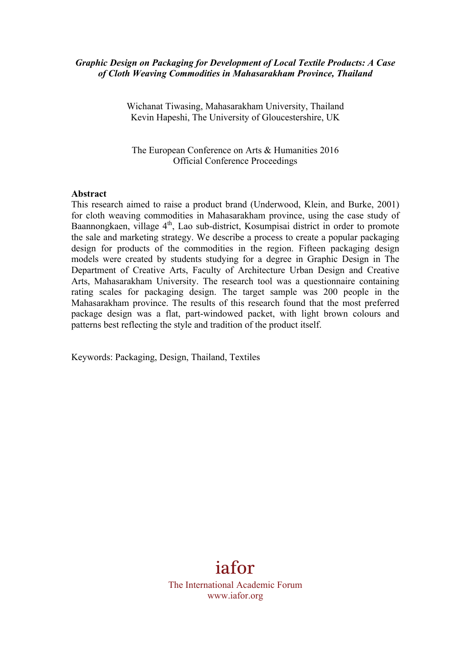#### *Graphic Design on Packaging for Development of Local Textile Products: A Case of Cloth Weaving Commodities in Mahasarakham Province, Thailand*

Wichanat Tiwasing, Mahasarakham University, Thailand Kevin Hapeshi, The University of Gloucestershire, UK

The European Conference on Arts & Humanities 2016 Official Conference Proceedings

#### **Abstract**

This research aimed to raise a product brand (Underwood, Klein, and Burke, 2001) for cloth weaving commodities in Mahasarakham province, using the case study of Baannongkaen, village 4<sup>th</sup>, Lao sub-district, Kosumpisai district in order to promote the sale and marketing strategy. We describe a process to create a popular packaging design for products of the commodities in the region. Fifteen packaging design models were created by students studying for a degree in Graphic Design in The Department of Creative Arts, Faculty of Architecture Urban Design and Creative Arts, Mahasarakham University. The research tool was a questionnaire containing rating scales for packaging design. The target sample was 200 people in the Mahasarakham province. The results of this research found that the most preferred package design was a flat, part-windowed packet, with light brown colours and patterns best reflecting the style and tradition of the product itself.

Keywords: Packaging, Design, Thailand, Textiles

# iafor

The International Academic Forum www.iafor.org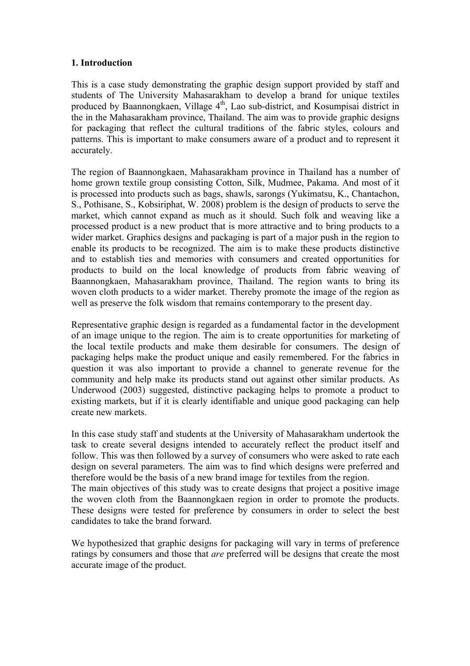#### **1. Introduction**

This is a case study demonstrating the graphic design support provided by staff and students of The University Mahasarakham to develop a brand for unique textiles produced by Baannongkaen, Village 4<sup>th</sup>, Lao sub-district, and Kosumpisai district in the in the Mahasarakham province, Thailand. The aim was to provide graphic designs for packaging that reflect the cultural traditions of the fabric styles, colours and patterns. This is important to make consumers aware of a product and to represent it accurately.

The region of Baannongkaen, Mahasarakham province in Thailand has a number of home grown textile group consisting Cotton, Silk, Mudmee, Pakama. And most of it is processed into products such as bags, shawls, sarongs (Yukimatsu, K., Chantachon, S., Pothisane, S., Kobsiriphat, W. 2008) problem is the design of products to serve the market, which cannot expand as much as it should. Such folk and weaving like a processed product is a new product that is more attractive and to bring products to a wider market. Graphics designs and packaging is part of a major push in the region to enable its products to be recognized. The aim is to make these products distinctive and to establish ties and memories with consumers and created opportunities for products to build on the local knowledge of products from fabric weaving of Baannongkaen, Mahasarakham province, Thailand. The region wants to bring its woven cloth products to a wider market. Thereby promote the image of the region as well as preserve the folk wisdom that remains contemporary to the present day.

Representative graphic design is regarded as a fundamental factor in the development of an image unique to the region. The aim is to create opportunities for marketing of the local textile products and make them desirable for consumers. The design of packaging helps make the product unique and easily remembered. For the fabrics in question it was also important to provide a channel to generate revenue for the community and help make its products stand out against other similar products. As Underwood (2003) suggested, distinctive packaging helps to promote a product to existing markets, but if it is clearly identifiable and unique good packaging can help create new markets.

In this case study staff and students at the University of Mahasarakham undertook the task to create several designs intended to accurately reflect the product itself and follow. This was then followed by a survey of consumers who were asked to rate each design on several parameters. The aim was to find which designs were preferred and therefore would be the basis of a new brand image for textiles from the region. The main objectives of this study was to create designs that project a positive image

the woven cloth from the Baannongkaen region in order to promote the products. These designs were tested for preference by consumers in order to select the best candidates to take the brand forward.

We hypothesized that graphic designs for packaging will vary in terms of preference ratings by consumers and those that *are* preferred will be designs that create the most accurate image of the product.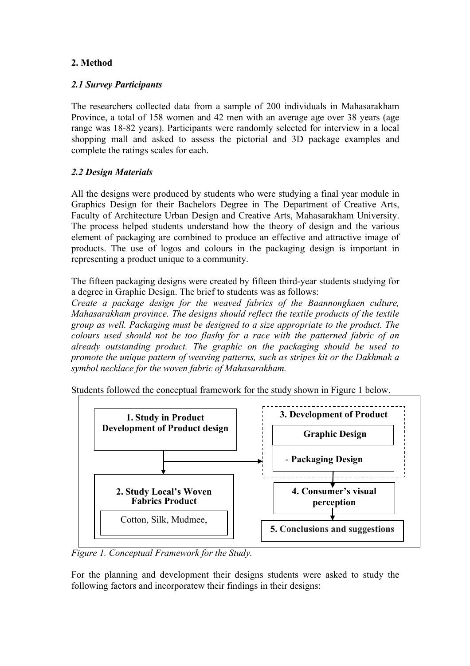# **2. Method**

### *2.1 Survey Participants*

The researchers collected data from a sample of 200 individuals in Mahasarakham Province, a total of 158 women and 42 men with an average age over 38 years (age range was 18-82 years). Participants were randomly selected for interview in a local shopping mall and asked to assess the pictorial and 3D package examples and complete the ratings scales for each.

### *2.2 Design Materials*

All the designs were produced by students who were studying a final year module in Graphics Design for their Bachelors Degree in The Department of Creative Arts, Faculty of Architecture Urban Design and Creative Arts, Mahasarakham University. The process helped students understand how the theory of design and the various element of packaging are combined to produce an effective and attractive image of products. The use of logos and colours in the packaging design is important in representing a product unique to a community.

The fifteen packaging designs were created by fifteen third-year students studying for a degree in Graphic Design. The brief to students was as follows:

*Create a package design for the weaved fabrics of the Baannongkaen culture, Mahasarakham province. The designs should reflect the textile products of the textile group as well. Packaging must be designed to a size appropriate to the product. The colours used should not be too flashy for a race with the patterned fabric of an already outstanding product. The graphic on the packaging should be used to promote the unique pattern of weaving patterns, such as stripes kit or the Dakhmak a symbol necklace for the woven fabric of Mahasarakham.*



Students followed the conceptual framework for the study shown in Figure 1 below.

*Figure 1. Conceptual Framework for the Study.*

For the planning and development their designs students were asked to study the following factors and incorporatew their findings in their designs: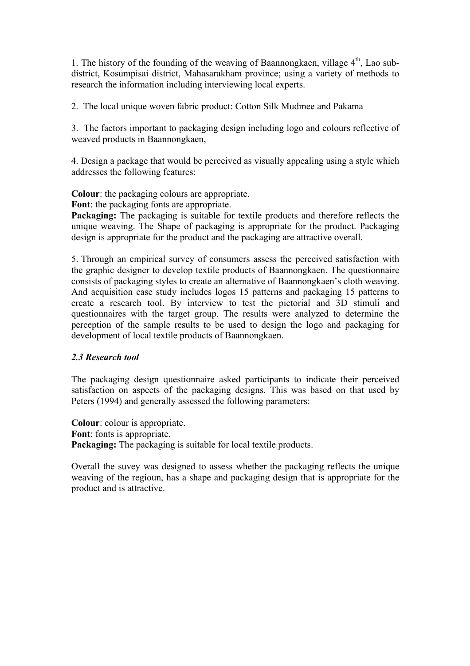1. The history of the founding of the weaving of Baannongkaen, village  $4<sup>th</sup>$ , Lao subdistrict, Kosumpisai district, Mahasarakham province; using a variety of methods to research the information including interviewing local experts.

2. The local unique woven fabric product: Cotton Silk Mudmee and Pakama

3. The factors important to packaging design including logo and colours reflective of weaved products in Baannongkaen,

4. Design a package that would be perceived as visually appealing using a style which addresses the following features:

**Colour**: the packaging colours are appropriate.

**Font**: the packaging fonts are appropriate.

**Packaging:** The packaging is suitable for textile products and therefore reflects the unique weaving. The Shape of packaging is appropriate for the product. Packaging design is appropriate for the product and the packaging are attractive overall.

5. Through an empirical survey of consumers assess the perceived satisfaction with the graphic designer to develop textile products of Baannongkaen. The questionnaire consists of packaging styles to create an alternative of Baannongkaen's cloth weaving. And acquisition case study includes logos 15 patterns and packaging 15 patterns to create a research tool. By interview to test the pictorial and 3D stimuli and questionnaires with the target group. The results were analyzed to determine the perception of the sample results to be used to design the logo and packaging for development of local textile products of Baannongkaen.

### *2.3 Research tool*

The packaging design questionnaire asked participants to indicate their perceived satisfaction on aspects of the packaging designs. This was based on that used by Peters (1994) and generally assessed the following parameters:

**Colour**: colour is appropriate. **Font**: fonts is appropriate. **Packaging:** The packaging is suitable for local textile products.

Overall the suvey was designed to assess whether the packaging reflects the unique weaving of the regioun, has a shape and packaging design that is appropriate for the product and is attractive.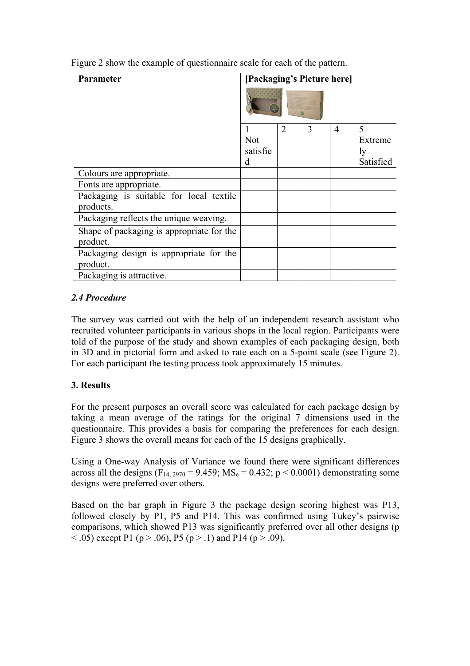| <b>Parameter</b>                                      | [Packaging's Picture here]  |                             |   |   |                                 |
|-------------------------------------------------------|-----------------------------|-----------------------------|---|---|---------------------------------|
|                                                       | <b>Not</b><br>satisfie<br>d | $\mathcal{D}_{\mathcal{L}}$ | 3 | 4 | 5<br>Extreme<br>ly<br>Satisfied |
| Colours are appropriate.                              |                             |                             |   |   |                                 |
| Fonts are appropriate.                                |                             |                             |   |   |                                 |
| Packaging is suitable for local textile<br>products.  |                             |                             |   |   |                                 |
| Packaging reflects the unique weaving.                |                             |                             |   |   |                                 |
| Shape of packaging is appropriate for the<br>product. |                             |                             |   |   |                                 |
| Packaging design is appropriate for the<br>product.   |                             |                             |   |   |                                 |
| Packaging is attractive.                              |                             |                             |   |   |                                 |

Figure 2 show the example of questionnaire scale for each of the pattern.

# *2.4 Procedure*

The survey was carried out with the help of an independent research assistant who recruited volunteer participants in various shops in the local region. Participants were told of the purpose of the study and shown examples of each packaging design, both in 3D and in pictorial form and asked to rate each on a 5-point scale (see Figure 2). For each participant the testing process took approximately 15 minutes.

### **3. Results**

For the present purposes an overall score was calculated for each package design by taking a mean average of the ratings for the original 7 dimensions used in the questionnaire. This provides a basis for comparing the preferences for each design. Figure 3 shows the overall means for each of the 15 designs graphically.

Using a One-way Analysis of Variance we found there were significant differences across all the designs (F<sub>14, 2970</sub> = 9.459; MS<sub>e</sub> = 0.432; p < 0.0001) demonstrating some designs were preferred over others.

Based on the bar graph in Figure 3 the package design scoring highest was P13, followed closely by P1, P5 and P14. This was confirmed using Tukey's pairwise comparisons, which showed P13 was significantly preferred over all other designs (p  $<$  0.05) except P1 (p > 0.06), P5 (p > 0.1) and P14 (p > 0.09).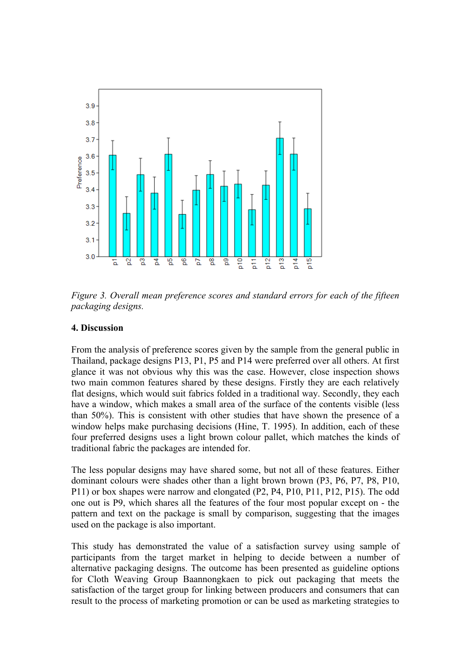

*Figure 3. Overall mean preference scores and standard errors for each of the fifteen packaging designs.*

#### **4. Discussion**

From the analysis of preference scores given by the sample from the general public in Thailand, package designs P13, P1, P5 and P14 were preferred over all others. At first glance it was not obvious why this was the case. However, close inspection shows two main common features shared by these designs. Firstly they are each relatively flat designs, which would suit fabrics folded in a traditional way. Secondly, they each have a window, which makes a small area of the surface of the contents visible (less than 50%). This is consistent with other studies that have shown the presence of a window helps make purchasing decisions (Hine, T. 1995). In addition, each of these four preferred designs uses a light brown colour pallet, which matches the kinds of traditional fabric the packages are intended for.

The less popular designs may have shared some, but not all of these features. Either dominant colours were shades other than a light brown brown (P3, P6, P7, P8, P10, P11) or box shapes were narrow and elongated (P2, P4, P10, P11, P12, P15). The odd one out is P9, which shares all the features of the four most popular except on - the pattern and text on the package is small by comparison, suggesting that the images used on the package is also important.

This study has demonstrated the value of a satisfaction survey using sample of participants from the target market in helping to decide between a number of alternative packaging designs. The outcome has been presented as guideline options for Cloth Weaving Group Baannongkaen to pick out packaging that meets the satisfaction of the target group for linking between producers and consumers that can result to the process of marketing promotion or can be used as marketing strategies to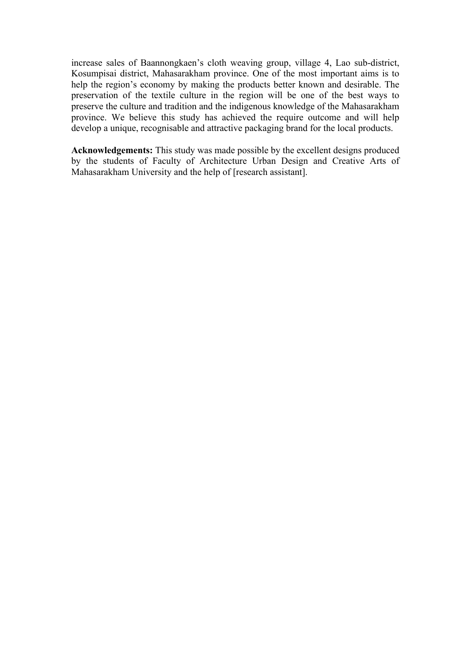increase sales of Baannongkaen's cloth weaving group, village 4, Lao sub-district, Kosumpisai district, Mahasarakham province. One of the most important aims is to help the region's economy by making the products better known and desirable. The preservation of the textile culture in the region will be one of the best ways to preserve the culture and tradition and the indigenous knowledge of the Mahasarakham province. We believe this study has achieved the require outcome and will help develop a unique, recognisable and attractive packaging brand for the local products.

**Acknowledgements:** This study was made possible by the excellent designs produced by the students of Faculty of Architecture Urban Design and Creative Arts of Mahasarakham University and the help of [research assistant].